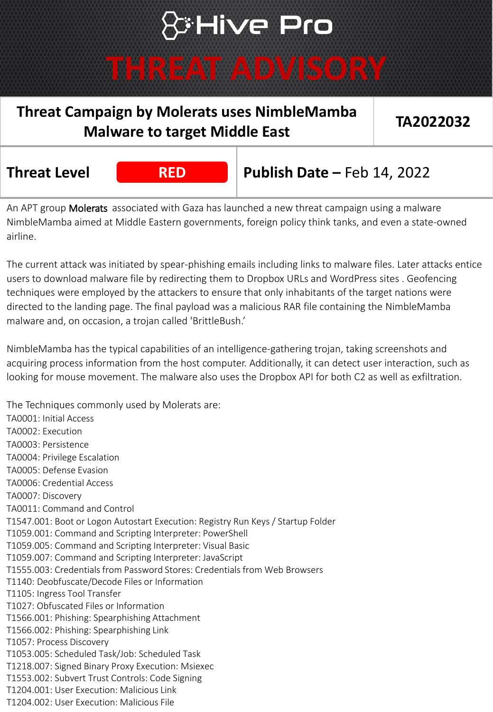## **S'Hive Pro**

### **THREAT ADVISORY**

### **Threat Campaign by Molerats uses NimbleMamba Malware to target Middle East TA2022032**

**RED**

**Threat Level RED RED** Publish Date – Feb 14, 2022

An APT group Molerats associated with Gaza has launched a new threat campaign using a malware NimbleMamba aimed at Middle Eastern governments, foreign policy think tanks, and even a state-owned airline.

The current attack was initiated by spear-phishing emails including links to malware files. Later attacks entice users to download malware file by redirecting them to Dropbox URLs and WordPress sites . Geofencing techniques were employed by the attackers to ensure that only inhabitants of the target nations were directed to the landing page. The final payload was a malicious RAR file containing the NimbleMamba malware and, on occasion, a trojan called 'BrittleBush.'

NimbleMamba has the typical capabilities of an intelligence-gathering trojan, taking screenshots and acquiring process information from the host computer. Additionally, it can detect user interaction, such as looking for mouse movement. The malware also uses the Dropbox API for both C2 as well as exfiltration.

TA0001: Initial Access TA0002: Execution TA0003: Persistence TA0004: Privilege Escalation TA0005: Defense Evasion TA0006: Credential Access TA0007: Discovery TA0011: Command and Control T1547.001: Boot or Logon Autostart Execution: Registry Run Keys / Startup Folder T1059.001: Command and Scripting Interpreter: PowerShell T1059.005: Command and Scripting Interpreter: Visual Basic T1059.007: Command and Scripting Interpreter: JavaScript T1555.003: Credentials from Password Stores: Credentials from Web Browsers T1140: Deobfuscate/Decode Files or Information T1105: Ingress Tool Transfer T1027: Obfuscated Files or Information T1566.001: Phishing: Spearphishing Attachment T1566.002: Phishing: Spearphishing Link T1057: Process Discovery T1053.005: Scheduled Task/Job: Scheduled Task T1218.007: Signed Binary Proxy Execution: Msiexec T1553.002: Subvert Trust Controls: Code Signing T1204.001: User Execution: Malicious Link T1204.002: User Execution: Malicious File

The Techniques commonly used by Molerats are: